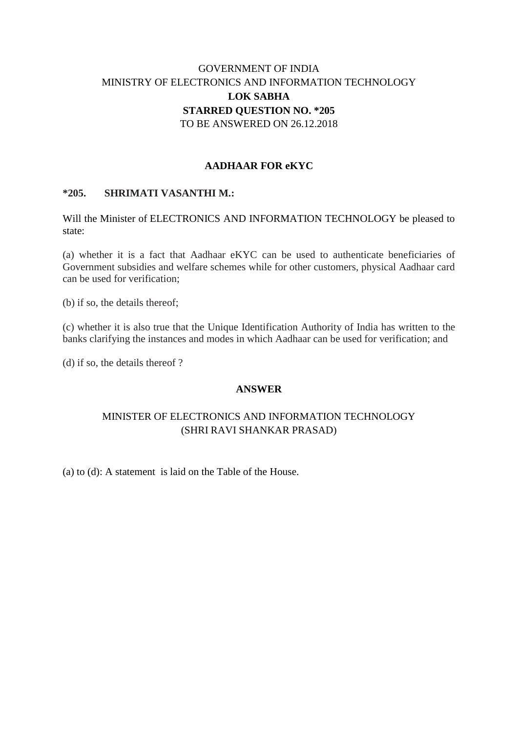# GOVERNMENT OF INDIA MINISTRY OF ELECTRONICS AND INFORMATION TECHNOLOGY **LOK SABHA STARRED QUESTION NO. \*205** TO BE ANSWERED ON 26.12.2018

### **AADHAAR FOR eKYC**

### **\*205. SHRIMATI VASANTHI M.:**

Will the Minister of ELECTRONICS AND INFORMATION TECHNOLOGY be pleased to state:

(a) whether it is a fact that Aadhaar eKYC can be used to authenticate beneficiaries of Government subsidies and welfare schemes while for other customers, physical Aadhaar card can be used for verification;

(b) if so, the details thereof;

(c) whether it is also true that the Unique Identification Authority of India has written to the banks clarifying the instances and modes in which Aadhaar can be used for verification; and

(d) if so, the details thereof ?

#### **ANSWER**

## MINISTER OF ELECTRONICS AND INFORMATION TECHNOLOGY (SHRI RAVI SHANKAR PRASAD)

(a) to (d): A statement is laid on the Table of the House.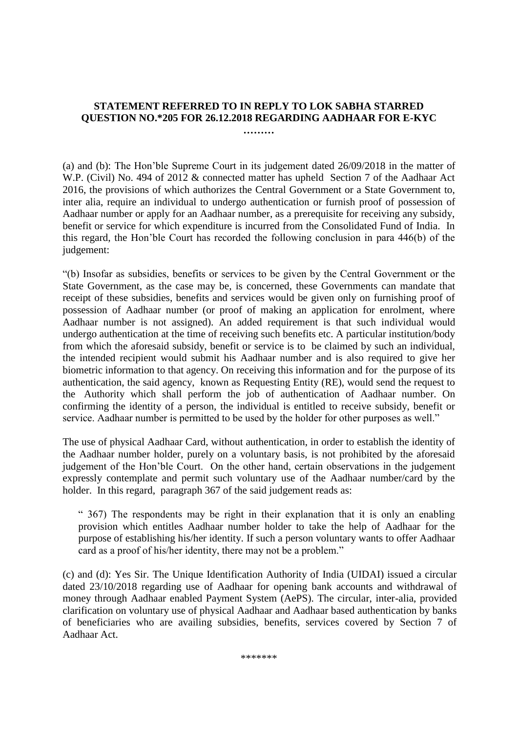## **STATEMENT REFERRED TO IN REPLY TO LOK SABHA STARRED QUESTION NO.\*205 FOR 26.12.2018 REGARDING AADHAAR FOR E-KYC**

**………**

(a) and (b): The Hon'ble Supreme Court in its judgement dated 26/09/2018 in the matter of W.P. (Civil) No. 494 of 2012 & connected matter has upheld Section 7 of the Aadhaar Act 2016, the provisions of which authorizes the Central Government or a State Government to, inter alia, require an individual to undergo authentication or furnish proof of possession of Aadhaar number or apply for an Aadhaar number, as a prerequisite for receiving any subsidy, benefit or service for which expenditure is incurred from the Consolidated Fund of India. In this regard, the Hon'ble Court has recorded the following conclusion in para 446(b) of the judgement:

"(b) Insofar as subsidies, benefits or services to be given by the Central Government or the State Government, as the case may be, is concerned, these Governments can mandate that receipt of these subsidies, benefits and services would be given only on furnishing proof of possession of Aadhaar number (or proof of making an application for enrolment, where Aadhaar number is not assigned). An added requirement is that such individual would undergo authentication at the time of receiving such benefits etc. A particular institution/body from which the aforesaid subsidy, benefit or service is to be claimed by such an individual, the intended recipient would submit his Aadhaar number and is also required to give her biometric information to that agency. On receiving this information and for the purpose of its authentication, the said agency, known as Requesting Entity (RE), would send the request to the Authority which shall perform the job of authentication of Aadhaar number. On confirming the identity of a person, the individual is entitled to receive subsidy, benefit or service. Aadhaar number is permitted to be used by the holder for other purposes as well."

The use of physical Aadhaar Card, without authentication, in order to establish the identity of the Aadhaar number holder, purely on a voluntary basis, is not prohibited by the aforesaid judgement of the Hon'ble Court. On the other hand, certain observations in the judgement expressly contemplate and permit such voluntary use of the Aadhaar number/card by the holder. In this regard, paragraph 367 of the said judgement reads as:

" 367) The respondents may be right in their explanation that it is only an enabling provision which entitles Aadhaar number holder to take the help of Aadhaar for the purpose of establishing his/her identity. If such a person voluntary wants to offer Aadhaar card as a proof of his/her identity, there may not be a problem."

(c) and (d): Yes Sir. The Unique Identification Authority of India (UIDAI) issued a circular dated 23/10/2018 regarding use of Aadhaar for opening bank accounts and withdrawal of money through Aadhaar enabled Payment System (AePS). The circular, inter-alia, provided clarification on voluntary use of physical Aadhaar and Aadhaar based authentication by banks of beneficiaries who are availing subsidies, benefits, services covered by Section 7 of Aadhaar Act.

\*\*\*\*\*\*\*